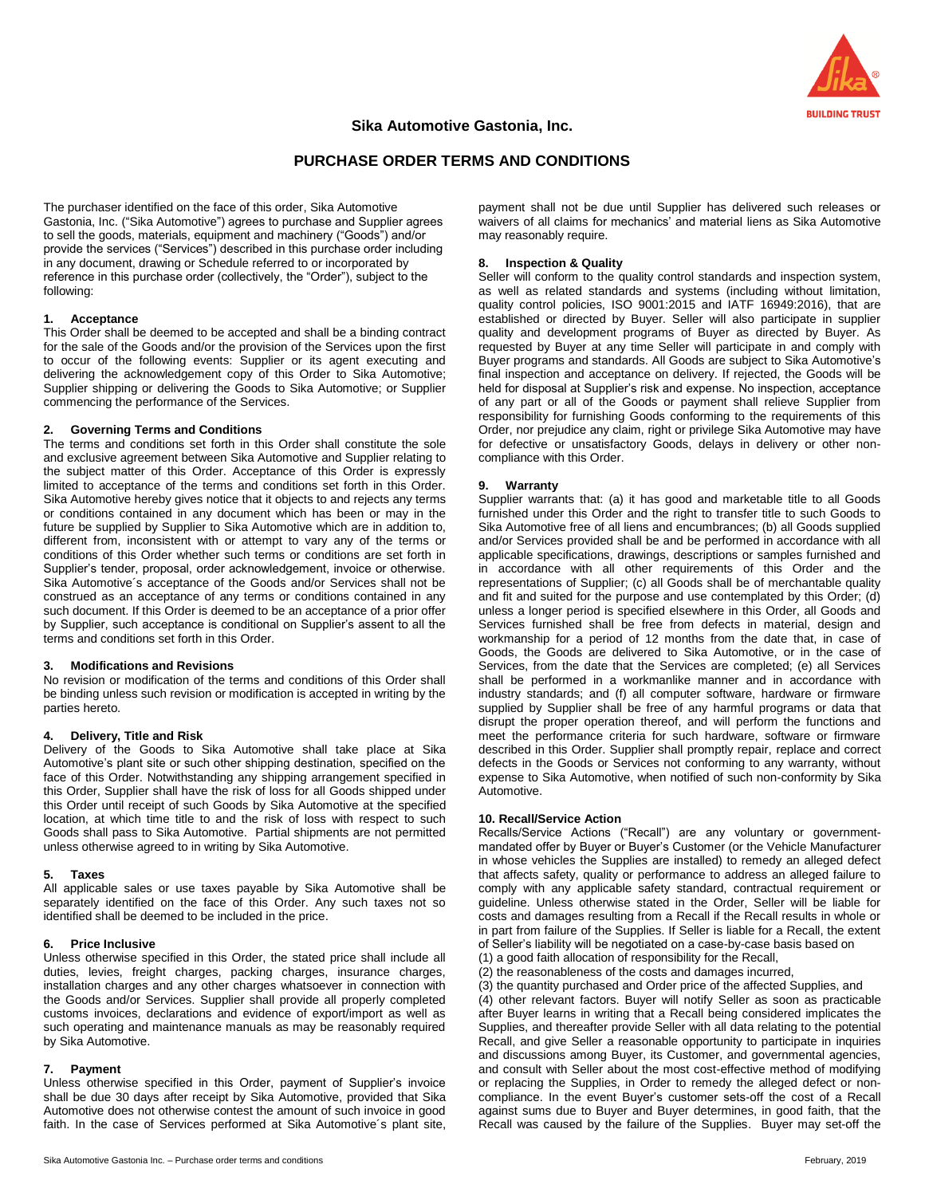

# **Sika Automotive Gastonia, Inc.**

# **PURCHASE ORDER TERMS AND CONDITIONS**

The purchaser identified on the face of this order, Sika Automotive Gastonia, Inc. ("Sika Automotive") agrees to purchase and Supplier agrees to sell the goods, materials, equipment and machinery ("Goods") and/or provide the services ("Services") described in this purchase order including in any document, drawing or Schedule referred to or incorporated by reference in this purchase order (collectively, the "Order"), subject to the following:

# **1. Acceptance**

This Order shall be deemed to be accepted and shall be a binding contract for the sale of the Goods and/or the provision of the Services upon the first to occur of the following events: Supplier or its agent executing and delivering the acknowledgement copy of this Order to Sika Automotive; Supplier shipping or delivering the Goods to Sika Automotive; or Supplier commencing the performance of the Services.

# **2. Governing Terms and Conditions**

The terms and conditions set forth in this Order shall constitute the sole and exclusive agreement between Sika Automotive and Supplier relating to the subject matter of this Order. Acceptance of this Order is expressly limited to acceptance of the terms and conditions set forth in this Order. Sika Automotive hereby gives notice that it objects to and rejects any terms or conditions contained in any document which has been or may in the future be supplied by Supplier to Sika Automotive which are in addition to, different from, inconsistent with or attempt to vary any of the terms or conditions of this Order whether such terms or conditions are set forth in Supplier's tender, proposal, order acknowledgement, invoice or otherwise. Sika Automotive's acceptance of the Goods and/or Services shall not be construed as an acceptance of any terms or conditions contained in any such document. If this Order is deemed to be an acceptance of a prior offer by Supplier, such acceptance is conditional on Supplier's assent to all the terms and conditions set forth in this Order.

# **3. Modifications and Revisions**

No revision or modification of the terms and conditions of this Order shall be binding unless such revision or modification is accepted in writing by the parties hereto.

# **4. Delivery, Title and Risk**

Delivery of the Goods to Sika Automotive shall take place at Sika Automotive's plant site or such other shipping destination, specified on the face of this Order. Notwithstanding any shipping arrangement specified in this Order, Supplier shall have the risk of loss for all Goods shipped under this Order until receipt of such Goods by Sika Automotive at the specified location, at which time title to and the risk of loss with respect to such Goods shall pass to Sika Automotive. Partial shipments are not permitted unless otherwise agreed to in writing by Sika Automotive.

# **5. Taxes**

All applicable sales or use taxes payable by Sika Automotive shall be separately identified on the face of this Order. Any such taxes not so identified shall be deemed to be included in the price.

# **6. Price Inclusive**

Unless otherwise specified in this Order, the stated price shall include all duties, levies, freight charges, packing charges, insurance charges, installation charges and any other charges whatsoever in connection with the Goods and/or Services. Supplier shall provide all properly completed customs invoices, declarations and evidence of export/import as well as such operating and maintenance manuals as may be reasonably required by Sika Automotive.

# **7. Payment**

Unless otherwise specified in this Order, payment of Supplier's invoice shall be due 30 days after receipt by Sika Automotive, provided that Sika Automotive does not otherwise contest the amount of such invoice in good faith. In the case of Services performed at Sika Automotive's plant site,

Sika Automotive Gastonia Inc. – Purchase order terms and conditions February, 2019

payment shall not be due until Supplier has delivered such releases or waivers of all claims for mechanics' and material liens as Sika Automotive may reasonably require.

# **8. Inspection & Quality**

Seller will conform to the quality control standards and inspection system, as well as related standards and systems (including without limitation, quality control policies, ISO 9001:2015 and IATF 16949:2016), that are established or directed by Buyer. Seller will also participate in supplier quality and development programs of Buyer as directed by Buyer. As requested by Buyer at any time Seller will participate in and comply with Buyer programs and standards. All Goods are subject to Sika Automotive's final inspection and acceptance on delivery. If rejected, the Goods will be held for disposal at Supplier's risk and expense. No inspection, acceptance of any part or all of the Goods or payment shall relieve Supplier from responsibility for furnishing Goods conforming to the requirements of this Order, nor prejudice any claim, right or privilege Sika Automotive may have for defective or unsatisfactory Goods, delays in delivery or other noncompliance with this Order.

# **9. Warranty**

Supplier warrants that: (a) it has good and marketable title to all Goods furnished under this Order and the right to transfer title to such Goods to Sika Automotive free of all liens and encumbrances; (b) all Goods supplied and/or Services provided shall be and be performed in accordance with all applicable specifications, drawings, descriptions or samples furnished and in accordance with all other requirements of this Order and the representations of Supplier; (c) all Goods shall be of merchantable quality and fit and suited for the purpose and use contemplated by this Order; (d) unless a longer period is specified elsewhere in this Order, all Goods and Services furnished shall be free from defects in material, design and workmanship for a period of 12 months from the date that, in case of Goods, the Goods are delivered to Sika Automotive, or in the case of Services, from the date that the Services are completed; (e) all Services shall be performed in a workmanlike manner and in accordance with industry standards; and (f) all computer software, hardware or firmware supplied by Supplier shall be free of any harmful programs or data that disrupt the proper operation thereof, and will perform the functions and meet the performance criteria for such hardware, software or firmware described in this Order. Supplier shall promptly repair, replace and correct defects in the Goods or Services not conforming to any warranty, without expense to Sika Automotive, when notified of such non-conformity by Sika Automotive.

# **10. Recall/Service Action**

Recalls/Service Actions ("Recall") are any voluntary or governmentmandated offer by Buyer or Buyer's Customer (or the Vehicle Manufacturer in whose vehicles the Supplies are installed) to remedy an alleged defect that affects safety, quality or performance to address an alleged failure to comply with any applicable safety standard, contractual requirement or guideline. Unless otherwise stated in the Order, Seller will be liable for costs and damages resulting from a Recall if the Recall results in whole or in part from failure of the Supplies. If Seller is liable for a Recall, the extent of Seller's liability will be negotiated on a case-by-case basis based on

(1) a good faith allocation of responsibility for the Recall,

(2) the reasonableness of the costs and damages incurred,

(3) the quantity purchased and Order price of the affected Supplies, and (4) other relevant factors. Buyer will notify Seller as soon as practicable after Buyer learns in writing that a Recall being considered implicates the Supplies, and thereafter provide Seller with all data relating to the potential Recall, and give Seller a reasonable opportunity to participate in inquiries and discussions among Buyer, its Customer, and governmental agencies, and consult with Seller about the most cost-effective method of modifying or replacing the Supplies, in Order to remedy the alleged defect or noncompliance. In the event Buyer's customer sets-off the cost of a Recall against sums due to Buyer and Buyer determines, in good faith, that the Recall was caused by the failure of the Supplies. Buyer may set-off the